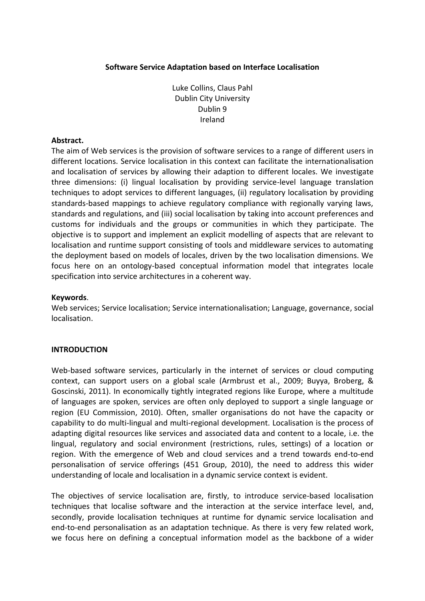### **Software Service Adaptation based on Interface Localisation**

Luke Collins, Claus Pahl Dublin City University Dublin 9 Ireland

#### **Abstract.**

The aim of Web services is the provision of software services to a range of different users in different locations. Service localisation in this context can facilitate the internationalisation and localisation of services by allowing their adaption to different locales. We investigate three dimensions: (i) lingual localisation by providing service-level language translation techniques to adopt services to different languages, (ii) regulatory localisation by providing standards-based mappings to achieve regulatory compliance with regionally varying laws, standards and regulations, and (iii) social localisation by taking into account preferences and customs for individuals and the groups or communities in which they participate. The objective is to support and implement an explicit modelling of aspects that are relevant to localisation and runtime support consisting of tools and middleware services to automating the deployment based on models of locales, driven by the two localisation dimensions. We focus here on an ontology-based conceptual information model that integrates locale specification into service architectures in a coherent way.

#### **Keywords**.

Web services; Service localisation; Service internationalisation; Language, governance, social localisation.

### **INTRODUCTION**

Web-based software services, particularly in the internet of services or cloud computing context, can support users on a global scale (Armbrust et al., 2009; Buyya, Broberg, & Goscinski, 2011). In economically tightly integrated regions like Europe, where a multitude of languages are spoken, services are often only deployed to support a single language or region (EU Commission, 2010). Often, smaller organisations do not have the capacity or capability to do multi-lingual and multi-regional development. Localisation is the process of adapting digital resources like services and associated data and content to a locale, i.e. the lingual, regulatory and social environment (restrictions, rules, settings) of a location or region. With the emergence of Web and cloud services and a trend towards end-to-end personalisation of service offerings (451 Group, 2010), the need to address this wider understanding of locale and localisation in a dynamic service context is evident.

The objectives of service localisation are, firstly, to introduce service-based localisation techniques that localise software and the interaction at the service interface level, and, secondly, provide localisation techniques at runtime for dynamic service localisation and end-to-end personalisation as an adaptation technique. As there is very few related work, we focus here on defining a conceptual information model as the backbone of a wider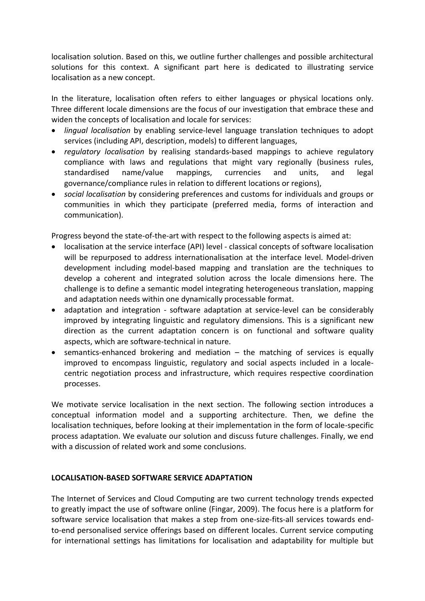localisation solution. Based on this, we outline further challenges and possible architectural solutions for this context. A significant part here is dedicated to illustrating service localisation as a new concept.

In the literature, localisation often refers to either languages or physical locations only. Three different locale dimensions are the focus of our investigation that embrace these and widen the concepts of localisation and locale for services:

- *lingual localisation* by enabling service-level language translation techniques to adopt services (including API, description, models) to different languages,
- *regulatory localisation* by realising standards-based mappings to achieve regulatory compliance with laws and regulations that might vary regionally (business rules, standardised name/value mappings, currencies and units, and legal governance/compliance rules in relation to different locations or regions),
- *social localisation* by considering preferences and customs for individuals and groups or communities in which they participate (preferred media, forms of interaction and communication).

Progress beyond the state-of-the-art with respect to the following aspects is aimed at:

- localisation at the service interface (API) level classical concepts of software localisation will be repurposed to address internationalisation at the interface level. Model-driven development including model-based mapping and translation are the techniques to develop a coherent and integrated solution across the locale dimensions here. The challenge is to define a semantic model integrating heterogeneous translation, mapping and adaptation needs within one dynamically processable format.
- adaptation and integration software adaptation at service-level can be considerably improved by integrating linguistic and regulatory dimensions. This is a significant new direction as the current adaptation concern is on functional and software quality aspects, which are software-technical in nature.
- semantics-enhanced brokering and mediation the matching of services is equally improved to encompass linguistic, regulatory and social aspects included in a localecentric negotiation process and infrastructure, which requires respective coordination processes.

We motivate service localisation in the next section. The following section introduces a conceptual information model and a supporting architecture. Then, we define the localisation techniques, before looking at their implementation in the form of locale-specific process adaptation. We evaluate our solution and discuss future challenges. Finally, we end with a discussion of related work and some conclusions.

### **LOCALISATION-BASED SOFTWARE SERVICE ADAPTATION**

The Internet of Services and Cloud Computing are two current technology trends expected to greatly impact the use of software online (Fingar, 2009). The focus here is a platform for software service localisation that makes a step from one-size-fits-all services towards endto-end personalised service offerings based on different locales. Current service computing for international settings has limitations for localisation and adaptability for multiple but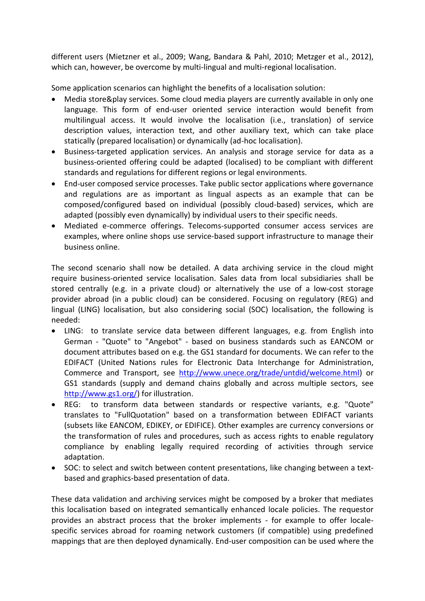different users (Mietzner et al., 2009; Wang, Bandara & Pahl, 2010; Metzger et al., 2012), which can, however, be overcome by multi-lingual and multi-regional localisation.

Some application scenarios can highlight the benefits of a localisation solution:

- Media store&play services. Some cloud media players are currently available in only one language. This form of end-user oriented service interaction would benefit from multilingual access. It would involve the localisation (i.e., translation) of service description values, interaction text, and other auxiliary text, which can take place statically (prepared localisation) or dynamically (ad-hoc localisation).
- Business-targeted application services. An analysis and storage service for data as a business-oriented offering could be adapted (localised) to be compliant with different standards and regulations for different regions or legal environments.
- End-user composed service processes. Take public sector applications where governance and regulations are as important as lingual aspects as an example that can be composed/configured based on individual (possibly cloud-based) services, which are adapted (possibly even dynamically) by individual users to their specific needs.
- Mediated e-commerce offerings. Telecoms-supported consumer access services are examples, where online shops use service-based support infrastructure to manage their business online.

The second scenario shall now be detailed. A data archiving service in the cloud might require business-oriented service localisation. Sales data from local subsidiaries shall be stored centrally (e.g. in a private cloud) or alternatively the use of a low-cost storage provider abroad (in a public cloud) can be considered. Focusing on regulatory (REG) and lingual (LING) localisation, but also considering social (SOC) localisation, the following is needed:

- LING: to translate service data between different languages, e.g. from English into German - "Quote" to "Angebot" - based on business standards such as EANCOM or document attributes based on e.g. the GS1 standard for documents. We can refer to the EDIFACT (United Nations rules for Electronic Data Interchange for Administration, Commerce and Transport, see [http://www.unece.org/trade/untdid/welcome.html\)](http://www.unece.org/trade/untdid/welcome.html) or GS1 standards (supply and demand chains globally and across multiple sectors, see [http://www.gs1.org/\)](http://www.gs1.org/) for illustration.
- REG: to transform data between standards or respective variants, e.g. "Quote" translates to "FullQuotation" based on a transformation between EDIFACT variants (subsets like EANCOM, EDIKEY, or EDIFICE). Other examples are currency conversions or the transformation of rules and procedures, such as access rights to enable regulatory compliance by enabling legally required recording of activities through service adaptation.
- SOC: to select and switch between content presentations, like changing between a textbased and graphics-based presentation of data.

These data validation and archiving services might be composed by a broker that mediates this localisation based on integrated semantically enhanced locale policies. The requestor provides an abstract process that the broker implements - for example to offer localespecific services abroad for roaming network customers (if compatible) using predefined mappings that are then deployed dynamically. End-user composition can be used where the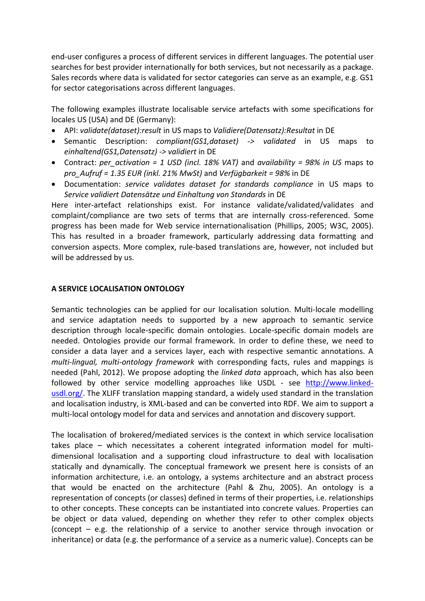end-user configures a process of different services in different languages. The potential user searches for best provider internationally for both services, but not necessarily as a package. Sales records where data is validated for sector categories can serve as an example, e.g. GS1 for sector categorisations across different languages.

The following examples illustrate localisable service artefacts with some specifications for locales US (USA) and DE (Germany):

- API: *validate(dataset):result* in US maps to *Validiere(Datensatz):Resultat* in DE
- Semantic Description: *compliant(GS1,dataset) -> validated* in US maps to *einhaltend(GS1,Datensatz) -> validiert* in DE
- Contract: *per\_activation = 1 USD (incl. 18% VAT)* and *availability = 98% in US* maps to *pro\_Aufruf = 1.35 EUR (inkl. 21% MwSt)* and *Verfügbarkeit = 98%* in DE
- Documentation: *service validates dataset for standards compliance* in US maps to *Service validiert Datensätze und Einhaltung von Standards* in DE

Here inter-artefact relationships exist. For instance validate/validated/validates and complaint/compliance are two sets of terms that are internally cross-referenced. Some progress has been made for Web service internationalisation (Phillips, 2005; W3C, 2005). This has resulted in a broader framework, particularly addressing data formatting and conversion aspects. More complex, rule-based translations are, however, not included but will be addressed by us.

### **A SERVICE LOCALISATION ONTOLOGY**

Semantic technologies can be applied for our localisation solution. Multi-locale modelling and service adaptation needs to supported by a new approach to semantic service description through locale-specific domain ontologies. Locale-specific domain models are needed. Ontologies provide our formal framework. In order to define these, we need to consider a data layer and a services layer, each with respective semantic annotations. A *multi-lingual, multi-ontology framework* with corresponding facts, rules and mappings is needed (Pahl, 2012). We propose adopting the *linked data* approach, which has also been followed by other service modelling approaches like USDL - see [http://www.linked](http://www.linked-usdl.org/)[usdl.org/.](http://www.linked-usdl.org/) The XLIFF translation mapping standard, a widely used standard in the translation and localisation industry, is XML-based and can be converted into RDF. We aim to support a multi-local ontology model for data and services and annotation and discovery support.

The localisation of brokered/mediated services is the context in which service localisation takes place – which necessitates a coherent integrated information model for multidimensional localisation and a supporting cloud infrastructure to deal with localisation statically and dynamically. The conceptual framework we present here is consists of an information architecture, i.e. an ontology, a systems architecture and an abstract process that would be enacted on the architecture (Pahl & Zhu, 2005). An ontology is a representation of concepts (or classes) defined in terms of their properties, i.e. relationships to other concepts. These concepts can be instantiated into concrete values. Properties can be object or data valued, depending on whether they refer to other complex objects (concept – e.g. the relationship of a service to another service through invocation or inheritance) or data (e.g. the performance of a service as a numeric value). Concepts can be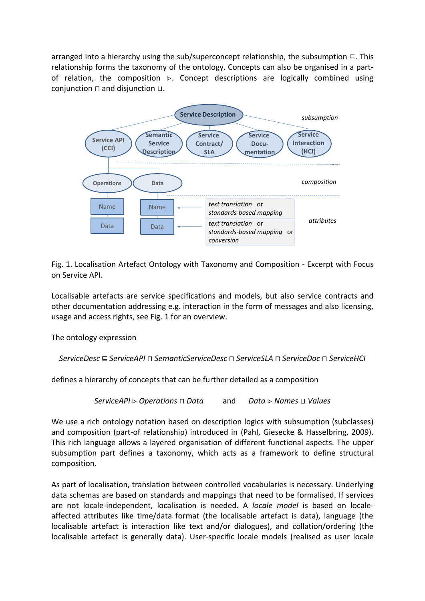arranged into a hierarchy using the sub/superconcept relationship, the subsumption ⊑. This relationship forms the taxonomy of the ontology. Concepts can also be organised in a partof relation, the composition  $\triangleright$ . Concept descriptions are logically combined using conjunction ⊓ and disjunction ⊔.



Fig. 1. Localisation Artefact Ontology with Taxonomy and Composition - Excerpt with Focus on Service API.

Localisable artefacts are service specifications and models, but also service contracts and other documentation addressing e.g. interaction in the form of messages and also licensing, usage and access rights, see Fig. 1 for an overview.

The ontology expression

*ServiceDesc* ⊑ *ServiceAPI* ⊓ *SemanticServiceDesc* ⊓ *ServiceSLA* ⊓ *ServiceDoc* ⊓ *ServiceHCI*

defines a hierarchy of concepts that can be further detailed as a composition

*ServiceAPI Operations* ⊓ *Data* and *Data Names* ⊔ *Values*

We use a rich ontology notation based on description logics with subsumption (subclasses) and composition (part-of relationship) introduced in (Pahl, Giesecke & Hasselbring, 2009). This rich language allows a layered organisation of different functional aspects. The upper subsumption part defines a taxonomy, which acts as a framework to define structural composition.

As part of localisation, translation between controlled vocabularies is necessary. Underlying data schemas are based on standards and mappings that need to be formalised. If services are not locale-independent, localisation is needed. A *locale model* is based on localeaffected attributes like time/data format (the localisable artefact is data), language (the localisable artefact is interaction like text and/or dialogues), and collation/ordering (the localisable artefact is generally data). User-specific locale models (realised as user locale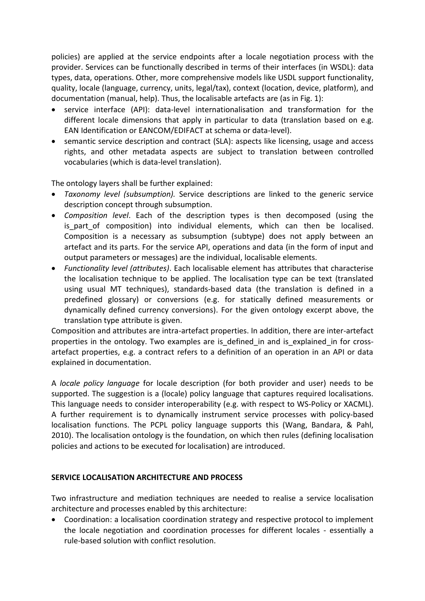policies) are applied at the service endpoints after a locale negotiation process with the provider. Services can be functionally described in terms of their interfaces (in WSDL): data types, data, operations. Other, more comprehensive models like USDL support functionality, quality, locale (language, currency, units, legal/tax), context (location, device, platform), and documentation (manual, help). Thus, the localisable artefacts are (as in Fig. 1):

- service interface (API): data-level internationalisation and transformation for the different locale dimensions that apply in particular to data (translation based on e.g. EAN Identification or EANCOM/EDIFACT at schema or data-level).
- semantic service description and contract (SLA): aspects like licensing, usage and access rights, and other metadata aspects are subject to translation between controlled vocabularies (which is data-level translation).

The ontology layers shall be further explained:

- *Taxonomy level (subsumption).* Service descriptions are linked to the generic service description concept through subsumption.
- *Composition level*. Each of the description types is then decomposed (using the is part of composition) into individual elements, which can then be localised. Composition is a necessary as subsumption (subtype) does not apply between an artefact and its parts. For the service API, operations and data (in the form of input and output parameters or messages) are the individual, localisable elements.
- *Functionality level (attributes)*. Each localisable element has attributes that characterise the localisation technique to be applied. The localisation type can be text (translated using usual MT techniques), standards-based data (the translation is defined in a predefined glossary) or conversions (e.g. for statically defined measurements or dynamically defined currency conversions). For the given ontology excerpt above, the translation type attribute is given.

Composition and attributes are intra-artefact properties. In addition, there are inter-artefact properties in the ontology. Two examples are is defined in and is explained in for crossartefact properties, e.g. a contract refers to a definition of an operation in an API or data explained in documentation.

A *locale policy language* for locale description (for both provider and user) needs to be supported. The suggestion is a (locale) policy language that captures required localisations. This language needs to consider interoperability (e.g. with respect to WS-Policy or XACML). A further requirement is to dynamically instrument service processes with policy-based localisation functions. The PCPL policy language supports this (Wang, Bandara, & Pahl, 2010). The localisation ontology is the foundation, on which then rules (defining localisation policies and actions to be executed for localisation) are introduced.

# **SERVICE LOCALISATION ARCHITECTURE AND PROCESS**

Two infrastructure and mediation techniques are needed to realise a service localisation architecture and processes enabled by this architecture:

 Coordination: a localisation coordination strategy and respective protocol to implement the locale negotiation and coordination processes for different locales - essentially a rule-based solution with conflict resolution.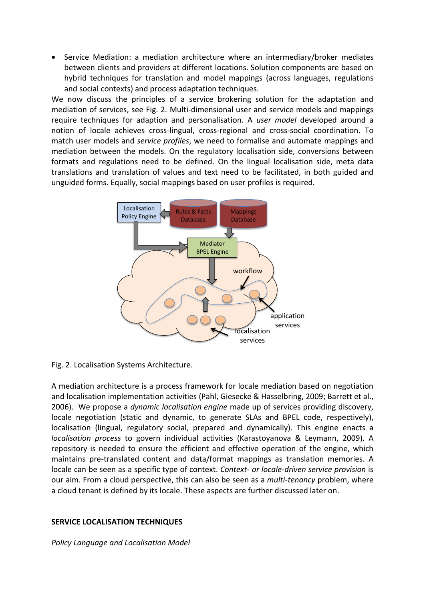Service Mediation: a mediation architecture where an intermediary/broker mediates between clients and providers at different locations. Solution components are based on hybrid techniques for translation and model mappings (across languages, regulations and social contexts) and process adaptation techniques.

We now discuss the principles of a service brokering solution for the adaptation and mediation of services, see Fig. 2. Multi-dimensional user and service models and mappings require techniques for adaption and personalisation. A *user model* developed around a notion of locale achieves cross-lingual, cross-regional and cross-social coordination. To match user models and *service profiles*, we need to formalise and automate mappings and mediation between the models. On the regulatory localisation side, conversions between formats and regulations need to be defined. On the lingual localisation side, meta data translations and translation of values and text need to be facilitated, in both guided and unguided forms. Equally, social mappings based on user profiles is required.



Fig. 2. Localisation Systems Architecture.

A mediation architecture is a process framework for locale mediation based on negotiation and localisation implementation activities (Pahl, Giesecke & Hasselbring, 2009; Barrett et al., 2006). We propose a *dynamic localisation engine* made up of services providing discovery, locale negotiation (static and dynamic, to generate SLAs and BPEL code, respectively), localisation (lingual, regulatory social, prepared and dynamically). This engine enacts a *localisation process* to govern individual activities (Karastoyanova & Leymann, 2009). A repository is needed to ensure the efficient and effective operation of the engine, which maintains pre-translated content and data/format mappings as translation memories. A locale can be seen as a specific type of context. *Context- or locale-driven service provision* is our aim. From a cloud perspective, this can also be seen as a *multi-tenancy* problem, where a cloud tenant is defined by its locale. These aspects are further discussed later on.

### **SERVICE LOCALISATION TECHNIQUES**

*Policy Language and Localisation Model*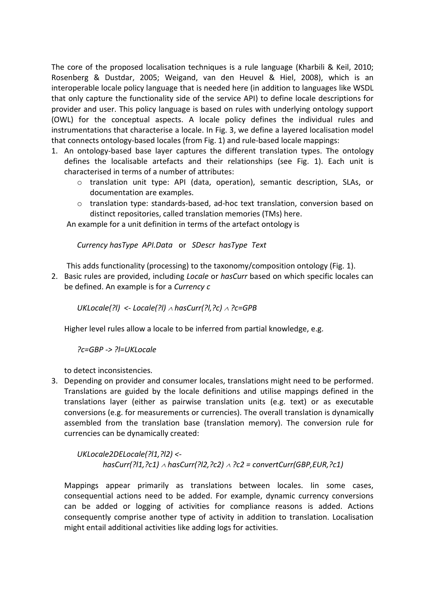The core of the proposed localisation techniques is a rule language (Kharbili & Keil, 2010; Rosenberg & Dustdar, 2005; Weigand, van den Heuvel & Hiel, 2008), which is an interoperable locale policy language that is needed here (in addition to languages like WSDL that only capture the functionality side of the service API) to define locale descriptions for provider and user. This policy language is based on rules with underlying ontology support (OWL) for the conceptual aspects. A locale policy defines the individual rules and instrumentations that characterise a locale. In Fig. 3, we define a layered localisation model that connects ontology-based locales (from Fig. 1) and rule-based locale mappings:

- 1. An ontology-based base layer captures the different translation types. The ontology defines the localisable artefacts and their relationships (see Fig. 1). Each unit is characterised in terms of a number of attributes:
	- o translation unit type: API (data, operation), semantic description, SLAs, or documentation are examples.
	- o translation type: standards-based, ad-hoc text translation, conversion based on distinct repositories, called translation memories (TMs) here.

An example for a unit definition in terms of the artefact ontology is

*Currency hasType API.Data* or *SDescr hasType Text*

This adds functionality (processing) to the taxonomy/composition ontology (Fig. 1).

2. Basic rules are provided, including *Locale* or *hasCurr* based on which specific locales can be defined. An example is for a *Currency c*

*UKLocale(?l) <- Locale(?l) hasCurr(?l,?c) ?c=GPB*

Higher level rules allow a locale to be inferred from partial knowledge, e.g.

*?c=GBP -> ?l=UKLocale*

to detect inconsistencies.

3. Depending on provider and consumer locales, translations might need to be performed. Translations are guided by the locale definitions and utilise mappings defined in the translations layer (either as pairwise translation units (e.g. text) or as executable conversions (e.g. for measurements or currencies). The overall translation is dynamically assembled from the translation base (translation memory). The conversion rule for currencies can be dynamically created:

*UKLocale2DELocale(?l1,?l2) < hasCurr(?l1,?c1) hasCurr(?l2,?c2) ?c2 = convertCurr(GBP,EUR,?c1)*

Mappings appear primarily as translations between locales. Iin some cases, consequential actions need to be added. For example, dynamic currency conversions can be added or logging of activities for compliance reasons is added. Actions consequently comprise another type of activity in addition to translation. Localisation might entail additional activities like adding logs for activities.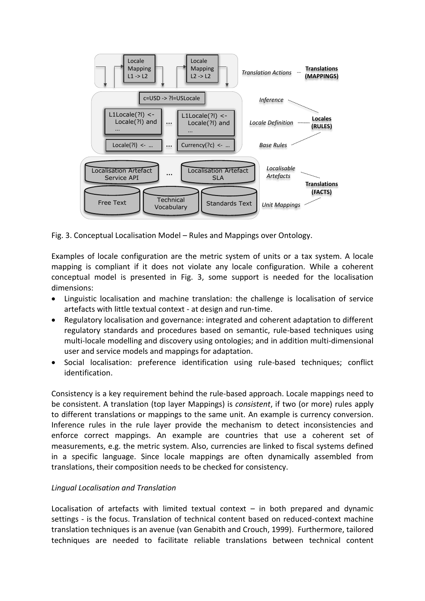

Fig. 3. Conceptual Localisation Model – Rules and Mappings over Ontology.

Examples of locale configuration are the metric system of units or a tax system. A locale mapping is compliant if it does not violate any locale configuration. While a coherent conceptual model is presented in Fig. 3, some support is needed for the localisation dimensions:

- Linguistic localisation and machine translation: the challenge is localisation of service artefacts with little textual context - at design and run-time.
- Regulatory localisation and governance: integrated and coherent adaptation to different regulatory standards and procedures based on semantic, rule-based techniques using multi-locale modelling and discovery using ontologies; and in addition multi-dimensional user and service models and mappings for adaptation.
- Social localisation: preference identification using rule-based techniques; conflict identification.

Consistency is a key requirement behind the rule-based approach. Locale mappings need to be consistent. A translation (top layer Mappings) is *consistent*, if two (or more) rules apply to different translations or mappings to the same unit. An example is currency conversion. Inference rules in the rule layer provide the mechanism to detect inconsistencies and enforce correct mappings. An example are countries that use a coherent set of measurements, e.g. the metric system. Also, currencies are linked to fiscal systems defined in a specific language. Since locale mappings are often dynamically assembled from translations, their composition needs to be checked for consistency.

### *Lingual Localisation and Translation*

Localisation of artefacts with limited textual context  $-$  in both prepared and dynamic settings - is the focus. Translation of technical content based on reduced-context machine translation techniques is an avenue (van Genabith and Crouch, 1999). Furthermore, tailored techniques are needed to facilitate reliable translations between technical content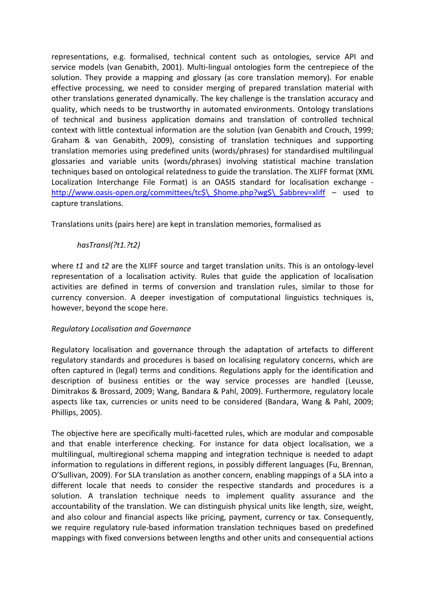representations, e.g. formalised, technical content such as ontologies, service API and service models (van Genabith, 2001). Multi-lingual ontologies form the centrepiece of the solution. They provide a mapping and glossary (as core translation memory). For enable effective processing, we need to consider merging of prepared translation material with other translations generated dynamically. The key challenge is the translation accuracy and quality, which needs to be trustworthy in automated environments. Ontology translations of technical and business application domains and translation of controlled technical context with little contextual information are the solution (van Genabith and Crouch, 1999; Graham & van Genabith, 2009), consisting of translation techniques and supporting translation memories using predefined units (words/phrases) for standardised multilingual glossaries and variable units (words/phrases) involving statistical machine translation techniques based on ontological relatedness to guide the translation. The XLIFF format (XML Localization Interchange File Format) is an OASIS standard for localisation exchange http://www.oasis-open.org/committees/tc\$\ \$home.php?wg\$\ \$abbrev=xliff – used to capture translations.

Translations units (pairs here) are kept in translation memories, formalised as

# *hasTransl(?t1.?t2)*

where *t1* and *t2* are the XLIFF source and target translation units. This is an ontology-level representation of a localisation activity. Rules that guide the application of localisation activities are defined in terms of conversion and translation rules, similar to those for currency conversion. A deeper investigation of computational linguistics techniques is, however, beyond the scope here.

# *Regulatory Localisation and Governance*

Regulatory localisation and governance through the adaptation of artefacts to different regulatory standards and procedures is based on localising regulatory concerns, which are often captured in (legal) terms and conditions. Regulations apply for the identification and description of business entities or the way service processes are handled (Leusse, Dimitrakos & Brossard, 2009; Wang, Bandara & Pahl, 2009). Furthermore, regulatory locale aspects like tax, currencies or units need to be considered (Bandara, Wang & Pahl, 2009; Phillips, 2005).

The objective here are specifically multi-facetted rules, which are modular and composable and that enable interference checking. For instance for data object localisation, we a multilingual, multiregional schema mapping and integration technique is needed to adapt information to regulations in different regions, in possibly different languages (Fu, Brennan, O'Sullivan, 2009). For SLA translation as another concern, enabling mappings of a SLA into a different locale that needs to consider the respective standards and procedures is a solution. A translation technique needs to implement quality assurance and the accountability of the translation. We can distinguish physical units like length, size, weight, and also colour and financial aspects like pricing, payment, currency or tax. Consequently, we require regulatory rule-based information translation techniques based on predefined mappings with fixed conversions between lengths and other units and consequential actions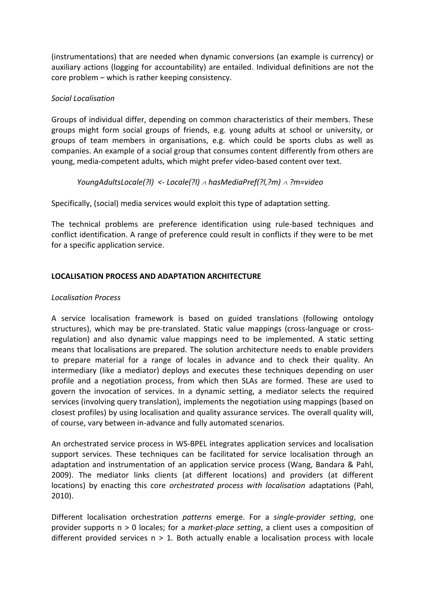(instrumentations) that are needed when dynamic conversions (an example is currency) or auxiliary actions (logging for accountability) are entailed. Individual definitions are not the core problem – which is rather keeping consistency.

### *Social Localisation*

Groups of individual differ, depending on common characteristics of their members. These groups might form social groups of friends, e.g. young adults at school or university, or groups of team members in organisations, e.g. which could be sports clubs as well as companies. An example of a social group that consumes content differently from others are young, media-competent adults, which might prefer video-based content over text.

# *YoungAdultsLocale(?l) <- Locale(?l) hasMediaPref(?l,?m) ?m=video*

Specifically, (social) media services would exploit this type of adaptation setting.

The technical problems are preference identification using rule-based techniques and conflict identification. A range of preference could result in conflicts if they were to be met for a specific application service.

# **LOCALISATION PROCESS AND ADAPTATION ARCHITECTURE**

### *Localisation Process*

A service localisation framework is based on guided translations (following ontology structures), which may be pre-translated. Static value mappings (cross-language or crossregulation) and also dynamic value mappings need to be implemented. A static setting means that localisations are prepared. The solution architecture needs to enable providers to prepare material for a range of locales in advance and to check their quality. An intermediary (like a mediator) deploys and executes these techniques depending on user profile and a negotiation process, from which then SLAs are formed. These are used to govern the invocation of services. In a dynamic setting, a mediator selects the required services (involving query translation), implements the negotiation using mappings (based on closest profiles) by using localisation and quality assurance services. The overall quality will, of course, vary between in-advance and fully automated scenarios.

An orchestrated service process in WS-BPEL integrates application services and localisation support services. These techniques can be facilitated for service localisation through an adaptation and instrumentation of an application service process (Wang, Bandara & Pahl, 2009). The mediator links clients (at different locations) and providers (at different locations) by enacting this core *orchestrated process with localisation* adaptations (Pahl, 2010).

Different localisation orchestration *patterns* emerge. For a *single-provider setting*, one provider supports n > 0 locales; for a *market-place setting*, a client uses a composition of different provided services  $n > 1$ . Both actually enable a localisation process with locale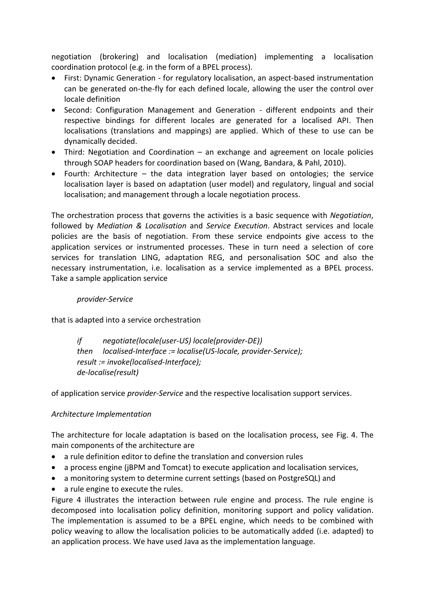negotiation (brokering) and localisation (mediation) implementing a localisation coordination protocol (e.g. in the form of a BPEL process).

- First: Dynamic Generation for regulatory localisation, an aspect-based instrumentation can be generated on-the-fly for each defined locale, allowing the user the control over locale definition
- Second: Configuration Management and Generation different endpoints and their respective bindings for different locales are generated for a localised API. Then localisations (translations and mappings) are applied. Which of these to use can be dynamically decided.
- Third: Negotiation and Coordination an exchange and agreement on locale policies through SOAP headers for coordination based on (Wang, Bandara, & Pahl, 2010).
- Fourth: Architecture the data integration layer based on ontologies; the service localisation layer is based on adaptation (user model) and regulatory, lingual and social localisation; and management through a locale negotiation process.

The orchestration process that governs the activities is a basic sequence with *Negotiation*, followed by *Mediation & Localisation* and *Service Execution*. Abstract services and locale policies are the basis of negotiation. From these service endpoints give access to the application services or instrumented processes. These in turn need a selection of core services for translation LING, adaptation REG, and personalisation SOC and also the necessary instrumentation, i.e. localisation as a service implemented as a BPEL process. Take a sample application service

### *provider-Service*

that is adapted into a service orchestration

 *if negotiate(locale(user-US) locale(provider-DE)) then localised-Interface := localise(US-locale, provider-Service); result := invoke(localised-Interface); de-localise(result)*

of application service *provider-Service* and the respective localisation support services.

# *Architecture Implementation*

The architecture for locale adaptation is based on the localisation process, see Fig. 4. The main components of the architecture are

- a rule definition editor to define the translation and conversion rules
- a process engine (jBPM and Tomcat) to execute application and localisation services,
- a monitoring system to determine current settings (based on PostgreSQL) and
- a rule engine to execute the rules.

Figure 4 illustrates the interaction between rule engine and process. The rule engine is decomposed into localisation policy definition, monitoring support and policy validation. The implementation is assumed to be a BPEL engine, which needs to be combined with policy weaving to allow the localisation policies to be automatically added (i.e. adapted) to an application process. We have used Java as the implementation language.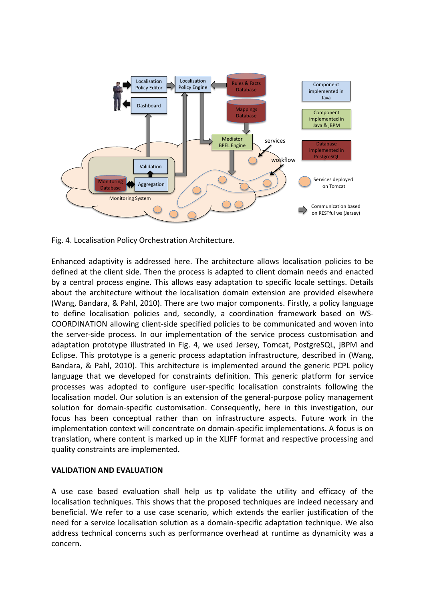

Fig. 4. Localisation Policy Orchestration Architecture.

Enhanced adaptivity is addressed here. The architecture allows localisation policies to be defined at the client side. Then the process is adapted to client domain needs and enacted by a central process engine. This allows easy adaptation to specific locale settings. Details about the architecture without the localisation domain extension are provided elsewhere (Wang, Bandara, & Pahl, 2010). There are two major components. Firstly, a policy language to define localisation policies and, secondly, a coordination framework based on WS-COORDINATION allowing client-side specified policies to be communicated and woven into the server-side process. In our implementation of the service process customisation and adaptation prototype illustrated in Fig. 4, we used Jersey, Tomcat, PostgreSQL, jBPM and Eclipse. This prototype is a generic process adaptation infrastructure, described in (Wang, Bandara, & Pahl, 2010). This architecture is implemented around the generic PCPL policy language that we developed for constraints definition. This generic platform for service processes was adopted to configure user-specific localisation constraints following the localisation model. Our solution is an extension of the general-purpose policy management solution for domain-specific customisation. Consequently, here in this investigation, our focus has been conceptual rather than on infrastructure aspects. Future work in the implementation context will concentrate on domain-specific implementations. A focus is on translation, where content is marked up in the XLIFF format and respective processing and quality constraints are implemented.

### **VALIDATION AND EVALUATION**

A use case based evaluation shall help us tp validate the utility and efficacy of the localisation techniques. This shows that the proposed techniques are indeed necessary and beneficial. We refer to a use case scenario, which extends the earlier justification of the need for a service localisation solution as a domain-specific adaptation technique. We also address technical concerns such as performance overhead at runtime as dynamicity was a concern.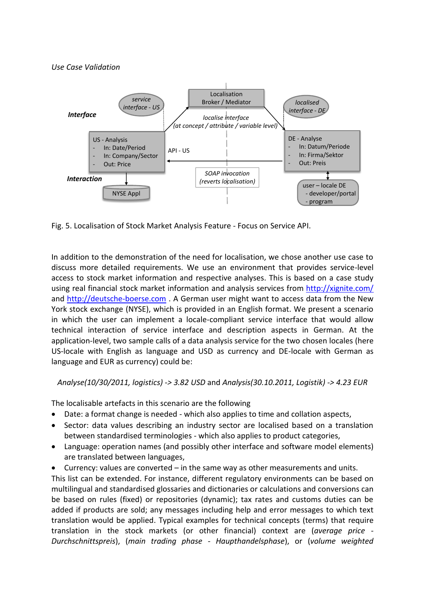### *Use Case Validation*



Fig. 5. Localisation of Stock Market Analysis Feature - Focus on Service API.

In addition to the demonstration of the need for localisation, we chose another use case to discuss more detailed requirements. We use an environment that provides service-level access to stock market information and respective analyses. This is based on a case study using real financial stock market information and analysis services from<http://xignite.com/> and [http://deutsche-boerse.com](http://deutsche-boerse.com/) . A German user might want to access data from the New York stock exchange (NYSE), which is provided in an English format. We present a scenario in which the user can implement a locale-compliant service interface that would allow technical interaction of service interface and description aspects in German. At the application-level, two sample calls of a data analysis service for the two chosen locales (here US-locale with English as language and USD as currency and DE-locale with German as language and EUR as currency) could be:

*Analyse(10/30/2011, logistics) -> 3.82 USD* and *Analysis(30.10.2011, Logistik) -> 4.23 EUR*

The localisable artefacts in this scenario are the following

- Date: a format change is needed which also applies to time and collation aspects,
- Sector: data values describing an industry sector are localised based on a translation between standardised terminologies - which also applies to product categories,
- Language: operation names (and possibly other interface and software model elements) are translated between languages,
- Currency: values are converted in the same way as other measurements and units.

This list can be extended. For instance, different regulatory environments can be based on multilingual and standardised glossaries and dictionaries or calculations and conversions can be based on rules (fixed) or repositories (dynamic); tax rates and customs duties can be added if products are sold; any messages including help and error messages to which text translation would be applied. Typical examples for technical concepts (terms) that require translation in the stock markets (or other financial) context are (*average price - Durchschnittspreis*), (*main trading phase - Haupthandelsphase*), or (*volume weighted*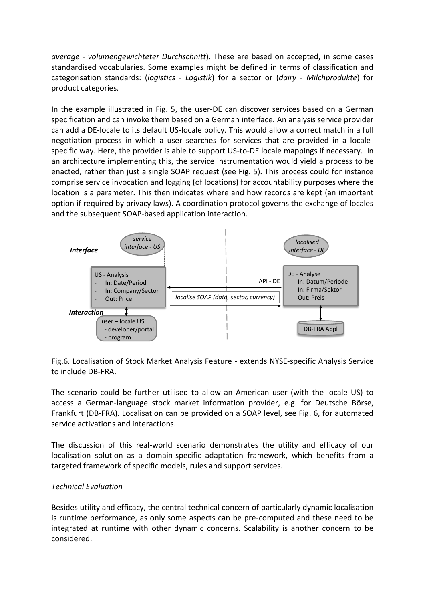*average - volumengewichteter Durchschnitt*). These are based on accepted, in some cases standardised vocabularies. Some examples might be defined in terms of classification and categorisation standards: (*logistics - Logistik*) for a sector or (*dairy - Milchprodukte*) for product categories.

In the example illustrated in Fig. 5, the user-DE can discover services based on a German specification and can invoke them based on a German interface. An analysis service provider can add a DE-locale to its default US-locale policy. This would allow a correct match in a full negotiation process in which a user searches for services that are provided in a localespecific way. Here, the provider is able to support US-to-DE locale mappings if necessary. In an architecture implementing this, the service instrumentation would yield a process to be enacted, rather than just a single SOAP request (see Fig. 5). This process could for instance comprise service invocation and logging (of locations) for accountability purposes where the location is a parameter. This then indicates where and how records are kept (an important option if required by privacy laws). A coordination protocol governs the exchange of locales and the subsequent SOAP-based application interaction.



Fig.6. Localisation of Stock Market Analysis Feature - extends NYSE-specific Analysis Service to include DB-FRA.

The scenario could be further utilised to allow an American user (with the locale US) to access a German-language stock market information provider, e.g. for Deutsche Börse, Frankfurt (DB-FRA). Localisation can be provided on a SOAP level, see Fig. 6, for automated service activations and interactions.

The discussion of this real-world scenario demonstrates the utility and efficacy of our localisation solution as a domain-specific adaptation framework, which benefits from a targeted framework of specific models, rules and support services.

### *Technical Evaluation*

Besides utility and efficacy, the central technical concern of particularly dynamic localisation is runtime performance, as only some aspects can be pre-computed and these need to be integrated at runtime with other dynamic concerns. Scalability is another concern to be considered.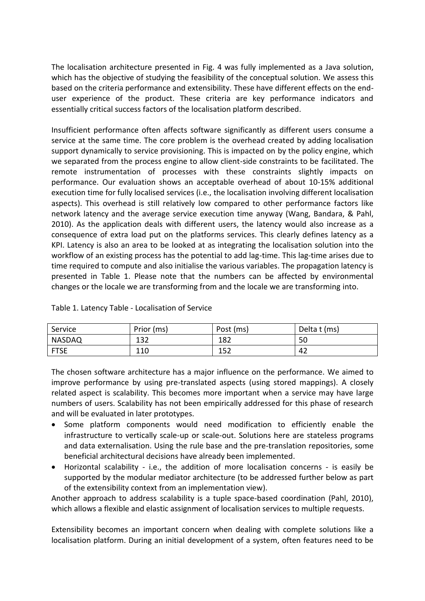The localisation architecture presented in Fig. 4 was fully implemented as a Java solution, which has the objective of studying the feasibility of the conceptual solution. We assess this based on the criteria performance and extensibility. These have different effects on the enduser experience of the product. These criteria are key performance indicators and essentially critical success factors of the localisation platform described.

Insufficient performance often affects software significantly as different users consume a service at the same time. The core problem is the overhead created by adding localisation support dynamically to service provisioning. This is impacted on by the policy engine, which we separated from the process engine to allow client-side constraints to be facilitated. The remote instrumentation of processes with these constraints slightly impacts on performance. Our evaluation shows an acceptable overhead of about 10-15% additional execution time for fully localised services (i.e., the localisation involving different localisation aspects). This overhead is still relatively low compared to other performance factors like network latency and the average service execution time anyway (Wang, Bandara, & Pahl, 2010). As the application deals with different users, the latency would also increase as a consequence of extra load put on the platforms services. This clearly defines latency as a KPI. Latency is also an area to be looked at as integrating the localisation solution into the workflow of an existing process has the potential to add lag-time. This lag-time arises due to time required to compute and also initialise the various variables. The propagation latency is presented in Table 1. Please note that the numbers can be affected by environmental changes or the locale we are transforming from and the locale we are transforming into.

| Service     | Prior (ms) | Post (ms) | Delta t (ms) |
|-------------|------------|-----------|--------------|
| NASDAQ      | 132        | 182       | 50           |
| <b>FTSE</b> | 110        | 152       | 42           |

Table 1. Latency Table - Localisation of Service

The chosen software architecture has a major influence on the performance. We aimed to improve performance by using pre-translated aspects (using stored mappings). A closely related aspect is scalability. This becomes more important when a service may have large numbers of users. Scalability has not been empirically addressed for this phase of research and will be evaluated in later prototypes.

- Some platform components would need modification to efficiently enable the infrastructure to vertically scale-up or scale-out. Solutions here are stateless programs and data externalisation. Using the rule base and the pre-translation repositories, some beneficial architectural decisions have already been implemented.
- Horizontal scalability i.e., the addition of more localisation concerns is easily be supported by the modular mediator architecture (to be addressed further below as part of the extensibility context from an implementation view).

Another approach to address scalability is a tuple space-based coordination (Pahl, 2010), which allows a flexible and elastic assignment of localisation services to multiple requests.

Extensibility becomes an important concern when dealing with complete solutions like a localisation platform. During an initial development of a system, often features need to be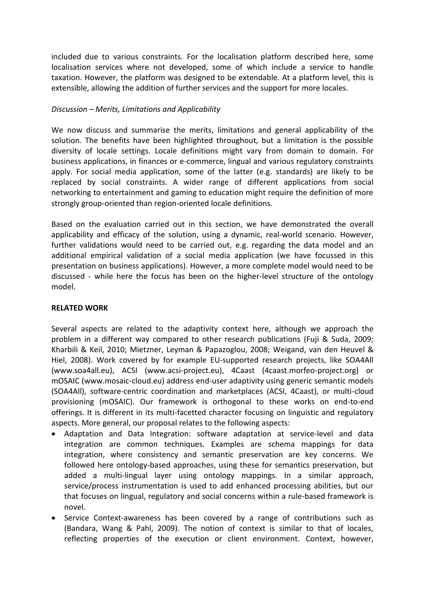included due to various constraints. For the localisation platform described here, some localisation services where not developed, some of which include a service to handle taxation. However, the platform was designed to be extendable. At a platform level, this is extensible, allowing the addition of further services and the support for more locales.

### *Discussion – Merits, Limitations and Applicability*

We now discuss and summarise the merits, limitations and general applicability of the solution. The benefits have been highlighted throughout, but a limitation is the possible diversity of locale settings. Locale definitions might vary from domain to domain. For business applications, in finances or e-commerce, lingual and various regulatory constraints apply. For social media application, some of the latter (e.g. standards) are likely to be replaced by social constraints. A wider range of different applications from social networking to entertainment and gaming to education might require the definition of more strongly group-oriented than region-oriented locale definitions.

Based on the evaluation carried out in this section, we have demonstrated the overall applicability and efficacy of the solution, using a dynamic, real-world scenario. However, further validations would need to be carried out, e.g. regarding the data model and an additional empirical validation of a social media application (we have focussed in this presentation on business applications). However, a more complete model would need to be discussed - while here the focus has been on the higher-level structure of the ontology model.

### **RELATED WORK**

Several aspects are related to the adaptivity context here, although we approach the problem in a different way compared to other research publications (Fuji & Suda, 2009; Kharbili & Keil, 2010; Mietzner, Leyman & Papazoglou, 2008; Weigand, van den Heuvel & Hiel, 2008). Work covered by for example EU-supported research projects, like SOA4All (www.soa4all.eu), ACSI (www.acsi-project.eu), 4Caast (4caast.morfeo-project.org) or mOSAIC (www.mosaic-cloud.eu) address end-user adaptivity using generic semantic models (SOA4All), software-centric coordination and marketplaces (ACSI, 4Caast), or multi-cloud provisioning (mOSAIC). Our framework is orthogonal to these works on end-to-end offerings. It is different in its multi-facetted character focusing on linguistic and regulatory aspects. More general, our proposal relates to the following aspects:

- Adaptation and Data Integration: software adaptation at service-level and data integration are common techniques. Examples are schema mappings for data integration, where consistency and semantic preservation are key concerns. We followed here ontology-based approaches, using these for semantics preservation, but added a multi-lingual layer using ontology mappings. In a similar approach, service/process instrumentation is used to add enhanced processing abilities, but our that focuses on lingual, regulatory and social concerns within a rule-based framework is novel.
- Service Context-awareness has been covered by a range of contributions such as (Bandara, Wang & Pahl, 2009). The notion of context is similar to that of locales, reflecting properties of the execution or client environment. Context, however,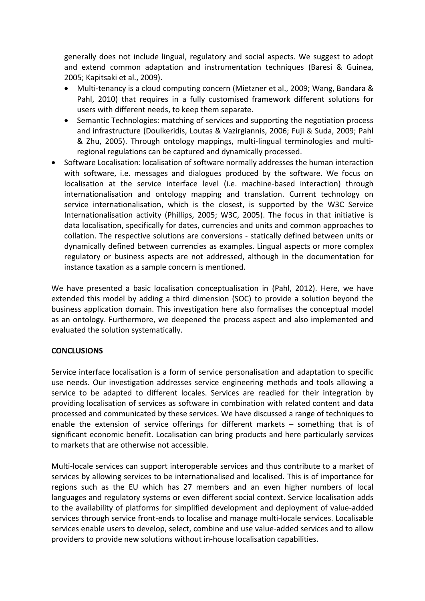generally does not include lingual, regulatory and social aspects. We suggest to adopt and extend common adaptation and instrumentation techniques (Baresi & Guinea, 2005; Kapitsaki et al., 2009).

- Multi-tenancy is a cloud computing concern (Mietzner et al., 2009; Wang, Bandara & Pahl, 2010) that requires in a fully customised framework different solutions for users with different needs, to keep them separate.
- Semantic Technologies: matching of services and supporting the negotiation process and infrastructure (Doulkeridis, Loutas & Vazirgiannis, 2006; Fuji & Suda, 2009; Pahl & Zhu, 2005). Through ontology mappings, multi-lingual terminologies and multiregional regulations can be captured and dynamically processed.
- Software Localisation: localisation of software normally addresses the human interaction with software, i.e. messages and dialogues produced by the software. We focus on localisation at the service interface level (i.e. machine-based interaction) through internationalisation and ontology mapping and translation. Current technology on service internationalisation, which is the closest, is supported by the W3C Service Internationalisation activity (Phillips, 2005; W3C, 2005). The focus in that initiative is data localisation, specifically for dates, currencies and units and common approaches to collation. The respective solutions are conversions - statically defined between units or dynamically defined between currencies as examples. Lingual aspects or more complex regulatory or business aspects are not addressed, although in the documentation for instance taxation as a sample concern is mentioned.

We have presented a basic localisation conceptualisation in (Pahl, 2012). Here, we have extended this model by adding a third dimension (SOC) to provide a solution beyond the business application domain. This investigation here also formalises the conceptual model as an ontology. Furthermore, we deepened the process aspect and also implemented and evaluated the solution systematically.

# **CONCLUSIONS**

Service interface localisation is a form of service personalisation and adaptation to specific use needs. Our investigation addresses service engineering methods and tools allowing a service to be adapted to different locales. Services are readied for their integration by providing localisation of services as software in combination with related content and data processed and communicated by these services. We have discussed a range of techniques to enable the extension of service offerings for different markets – something that is of significant economic benefit. Localisation can bring products and here particularly services to markets that are otherwise not accessible.

Multi-locale services can support interoperable services and thus contribute to a market of services by allowing services to be internationalised and localised. This is of importance for regions such as the EU which has 27 members and an even higher numbers of local languages and regulatory systems or even different social context. Service localisation adds to the availability of platforms for simplified development and deployment of value-added services through service front-ends to localise and manage multi-locale services. Localisable services enable users to develop, select, combine and use value-added services and to allow providers to provide new solutions without in-house localisation capabilities.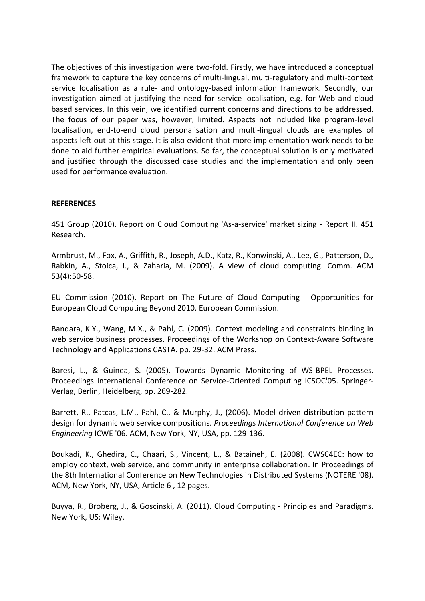The objectives of this investigation were two-fold. Firstly, we have introduced a conceptual framework to capture the key concerns of multi-lingual, multi-regulatory and multi-context service localisation as a rule- and ontology-based information framework. Secondly, our investigation aimed at justifying the need for service localisation, e.g. for Web and cloud based services. In this vein, we identified current concerns and directions to be addressed. The focus of our paper was, however, limited. Aspects not included like program-level localisation, end-to-end cloud personalisation and multi-lingual clouds are examples of aspects left out at this stage. It is also evident that more implementation work needs to be done to aid further empirical evaluations. So far, the conceptual solution is only motivated and justified through the discussed case studies and the implementation and only been used for performance evaluation.

### **REFERENCES**

451 Group (2010). Report on Cloud Computing 'As-a-service' market sizing - Report II. 451 Research.

Armbrust, M., Fox, A., Griffith, R., Joseph, A.D., Katz, R., Konwinski, A., Lee, G., Patterson, D., Rabkin, A., Stoica, I., & Zaharia, M. (2009). A view of cloud computing. Comm. ACM 53(4):50-58.

EU Commission (2010). Report on The Future of Cloud Computing - Opportunities for European Cloud Computing Beyond 2010. European Commission.

Bandara, K.Y., Wang, M.X., & Pahl, C. (2009). Context modeling and constraints binding in web service business processes. Proceedings of the Workshop on Context-Aware Software Technology and Applications CASTA. pp. 29-32. ACM Press.

Baresi, L., & Guinea, S. (2005). Towards Dynamic Monitoring of WS-BPEL Processes. Proceedings International Conference on Service-Oriented Computing ICSOC'05. Springer-Verlag, Berlin, Heidelberg, pp. 269-282.

Barrett, R., Patcas, L.M., Pahl, C., & Murphy, J., (2006). Model driven distribution pattern design for dynamic web service compositions. *Proceedings International Conference on Web Engineering* ICWE '06. ACM, New York, NY, USA, pp. 129-136.

Boukadi, K., Ghedira, C., Chaari, S., Vincent, L., & Bataineh, E. (2008). CWSC4EC: how to employ context, web service, and community in enterprise collaboration. In Proceedings of the 8th International Conference on New Technologies in Distributed Systems (NOTERE '08). ACM, New York, NY, USA, Article 6 , 12 pages.

Buyya, R., Broberg, J., & Goscinski, A. (2011). Cloud Computing - Principles and Paradigms. New York, US: Wiley.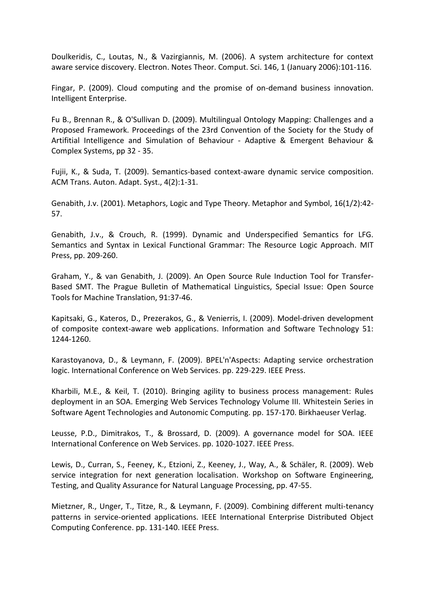Doulkeridis, C., Loutas, N., & Vazirgiannis, M. (2006). A system architecture for context aware service discovery. Electron. Notes Theor. Comput. Sci. 146, 1 (January 2006):101-116.

Fingar, P. (2009). Cloud computing and the promise of on-demand business innovation. Intelligent Enterprise.

Fu B., Brennan R., & O'Sullivan D. (2009). Multilingual Ontology Mapping: Challenges and a Proposed Framework. Proceedings of the 23rd Convention of the Society for the Study of Artifitial Intelligence and Simulation of Behaviour - Adaptive & Emergent Behaviour & Complex Systems, pp 32 - 35.

Fujii, K., & Suda, T. (2009). Semantics-based context-aware dynamic service composition. ACM Trans. Auton. Adapt. Syst., 4(2):1-31.

Genabith, J.v. (2001). Metaphors, Logic and Type Theory. Metaphor and Symbol, 16(1/2):42- 57.

Genabith, J.v., & Crouch, R. (1999). Dynamic and Underspecified Semantics for LFG. Semantics and Syntax in Lexical Functional Grammar: The Resource Logic Approach. MIT Press, pp. 209-260.

Graham, Y., & van Genabith, J. (2009). An Open Source Rule Induction Tool for Transfer-Based SMT. The Prague Bulletin of Mathematical Linguistics, Special Issue: Open Source Tools for Machine Translation, 91:37-46.

Kapitsaki, G., Kateros, D., Prezerakos, G., & Venierris, I. (2009). Model-driven development of composite context-aware web applications. Information and Software Technology 51: 1244-1260.

Karastoyanova, D., & Leymann, F. (2009). BPEL'n'Aspects: Adapting service orchestration logic. International Conference on Web Services. pp. 229-229. IEEE Press.

Kharbili, M.E., & Keil, T. (2010). Bringing agility to business process management: Rules deployment in an SOA. Emerging Web Services Technology Volume III. Whitestein Series in Software Agent Technologies and Autonomic Computing. pp. 157-170. Birkhaeuser Verlag.

Leusse, P.D., Dimitrakos, T., & Brossard, D. (2009). A governance model for SOA. IEEE International Conference on Web Services. pp. 1020-1027. IEEE Press.

Lewis, D., Curran, S., Feeney, K., Etzioni, Z., Keeney, J., Way, A., & Schäler, R. (2009). Web service integration for next generation localisation. Workshop on Software Engineering, Testing, and Quality Assurance for Natural Language Processing, pp. 47-55.

Mietzner, R., Unger, T., Titze, R., & Leymann, F. (2009). Combining different multi-tenancy patterns in service-oriented applications. IEEE International Enterprise Distributed Object Computing Conference. pp. 131-140. IEEE Press.